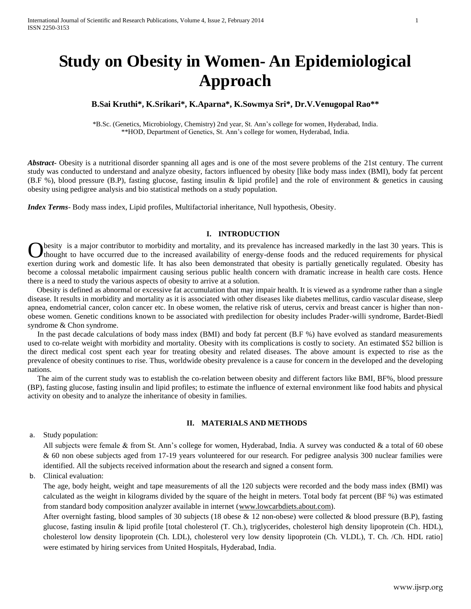# **Study on Obesity in Women- An Epidemiological Approach**

## **B.Sai Kruthi\*, K.Srikari\*, K.Aparna\*, K.Sowmya Sri\*, Dr.V.Venugopal Rao\*\***

\*B.Sc. (Genetics, Microbiology, Chemistry) 2nd year, St. Ann's college for women, Hyderabad, India. \*\*HOD, Department of Genetics, St. Ann's college for women, Hyderabad, India.

*Abstract***-** Obesity is a nutritional disorder spanning all ages and is one of the most severe problems of the 21st century. The current study was conducted to understand and analyze obesity, factors influenced by obesity [like body mass index (BMI), body fat percent (B.F %), blood pressure (B.P), fasting glucose, fasting insulin & lipid profile] and the role of environment & genetics in causing obesity using pedigree analysis and bio statistical methods on a study population.

*Index Terms*- Body mass index, Lipid profiles, Multifactorial inheritance, Null hypothesis, Obesity.

## **I. INTRODUCTION**

besity is a major contributor to morbidity and mortality, and its prevalence has increased markedly in the last 30 years. This is thought to have occurred due to the increased availability of energy-dense foods and the reduced requirements for physical exertion during work and domestic life. It has also been demonstrated that obesity is partially genetically regulated. Obesity has become a colossal metabolic impairment causing serious public health concern with dramatic increase in health care costs. Hence there is a need to study the various aspects of obesity to arrive at a solution. O

 Obesity is defined as abnormal or excessive fat accumulation that may impair health. It is viewed as a syndrome rather than a single disease. It results in morbidity and mortality as it is associated with other diseases like diabetes mellitus, cardio vascular disease, sleep apnea, endometrial cancer, colon cancer etc. In obese women, the relative risk of uterus, cervix and breast cancer is higher than nonobese women. Genetic conditions known to be associated with predilection for obesity includes Prader-willi syndrome, Bardet-Biedl syndrome & Chon syndrome.

 In the past decade calculations of body mass index (BMI) and body fat percent (B.F %) have evolved as standard measurements used to co-relate weight with morbidity and mortality. Obesity with its complications is costly to society. An estimated \$52 billion is the direct medical cost spent each year for treating obesity and related diseases. The above amount is expected to rise as the prevalence of obesity continues to rise. Thus, worldwide obesity prevalence is a cause for concern in the developed and the developing nations.

 The aim of the current study was to establish the co-relation between obesity and different factors like BMI, BF%, blood pressure (BP), fasting glucose, fasting insulin and lipid profiles; to estimate the influence of external environment like food habits and physical activity on obesity and to analyze the inheritance of obesity in families.

#### **II. MATERIALS AND METHODS**

## a. Study population:

All subjects were female & from St. Ann's college for women, Hyderabad, India. A survey was conducted & a total of 60 obese & 60 non obese subjects aged from 17-19 years volunteered for our research. For pedigree analysis 300 nuclear families were identified. All the subjects received information about the research and signed a consent form.

b. Clinical evaluation:

The age, body height, weight and tape measurements of all the 120 subjects were recorded and the body mass index (BMI) was calculated as the weight in kilograms divided by the square of the height in meters. Total body fat percent (BF %) was estimated from standard body composition analyzer available in internet [\(www.lowcarbdiets.about.com\)](http://www.lowcarbdiets.about.com/).

After overnight fasting, blood samples of 30 subjects (18 obese & 12 non-obese) were collected & blood pressure (B.P), fasting glucose, fasting insulin & lipid profile [total cholesterol (T. Ch.), triglycerides, cholesterol high density lipoprotein (Ch. HDL), cholesterol low density lipoprotein (Ch. LDL), cholesterol very low density lipoprotein (Ch. VLDL), T. Ch. /Ch. HDL ratio] were estimated by hiring services from United Hospitals, Hyderabad, India.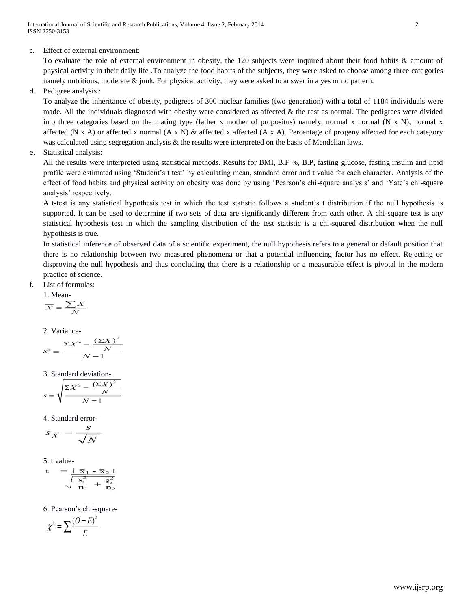c. Effect of external environment:

To evaluate the role of external environment in obesity, the 120 subjects were inquired about their food habits & amount of physical activity in their daily life .To analyze the food habits of the subjects, they were asked to choose among three categories namely nutritious, moderate  $\&$  junk. For physical activity, they were asked to answer in a yes or no pattern.

d. Pedigree analysis :

To analyze the inheritance of obesity, pedigrees of 300 nuclear families (two generation) with a total of 1184 individuals were made. All the individuals diagnosed with obesity were considered as affected & the rest as normal. The pedigrees were divided into three categories based on the mating type (father x mother of propositus) namely, normal x normal (N x N), normal x affected (N x A) or affected x normal  $(A \times N)$  & affected x affected  $(A \times A)$ . Percentage of progeny affected for each category was calculated using segregation analysis & the results were interpreted on the basis of Mendelian laws.

e. Statistical analysis:

All the results were interpreted using statistical methods. Results for BMI, B.F %, B.P, fasting glucose, fasting insulin and lipid profile were estimated using 'Student's t test' by calculating mean, standard error and t value for each character. Analysis of the effect of food habits and physical activity on obesity was done by using 'Pearson's chi-square analysis' and 'Yate's chi-square analysis' respectively.

A t-test is any statistical hypothesis test in which the test statistic follows a student's t distribution if the null hypothesis is supported. It can be used to determine if two sets of data are significantly different from each other. A chi-square test is any statistical hypothesis test in which the sampling distribution of the test statistic is a chi-squared distribution when the null hypothesis is true.

In statistical inference of observed data of a scientific experiment, the null hypothesis refers to a general or default position that there is no relationship between two measured phenomena or that a potential influencing factor has no effect. Rejecting or disproving the null hypothesis and thus concluding that there is a relationship or a measurable effect is pivotal in the modern practice of science.

f. List of formulas:

1. Mean-
$$
\frac{1}{X} = \frac{\sum X}{N}
$$

2. Variance-

$$
s^2 = \frac{\Sigma X^2 - \frac{(\Sigma X)^2}{N}}{N - 1}
$$

3. Standard deviation-

$$
s = \sqrt{\frac{\Sigma X^2 - \frac{(\Sigma X)^2}{N}}{N - 1}}
$$

4. Standard error-

$$
s_{\overline{X}} = \frac{s}{\sqrt{N}}
$$

5. t value-

$$
t = \frac{\mid \overline{x}_1 - \overline{x}_2 \mid}{\sqrt{\frac{s_1^2}{n_1} + \frac{s_2^2}{n_2}}}
$$

6. Pearson's chi-square-

$$
\chi^2 = \sum \frac{(O-E)^2}{E}
$$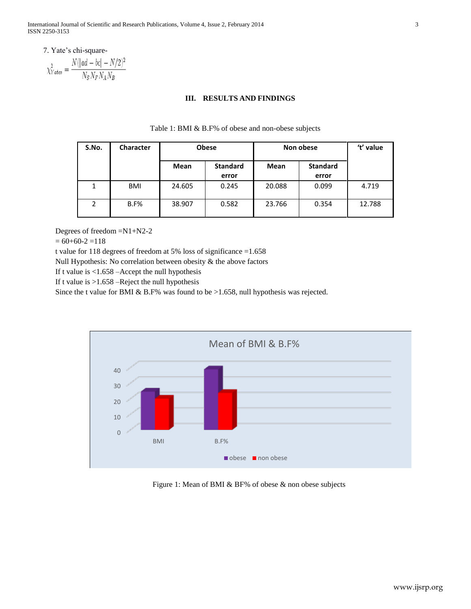7. Yate's chi-square-

$$
\chi^2_{Yates} = \frac{N(|ad - bc| - N/2)^2}{N_S N_F N_A N_B}
$$

## **III. RESULTS AND FINDINGS**

| S.No. | <b>Character</b> | <b>Obese</b> |                          | Non obese |                          | 't' value |
|-------|------------------|--------------|--------------------------|-----------|--------------------------|-----------|
|       |                  | Mean         | <b>Standard</b><br>error | Mean      | <b>Standard</b><br>error |           |
| 1     | BMI              | 24.605       | 0.245                    | 20.088    | 0.099                    | 4.719     |
| 2     | $B.F\%$          | 38.907       | 0.582                    | 23.766    | 0.354                    | 12.788    |

#### Table 1: BMI & B.F% of obese and non-obese subjects

Degrees of freedom =N1+N2-2

 $= 60+60-2 = 118$ 

t value for 118 degrees of freedom at 5% loss of significance =1.658

Null Hypothesis: No correlation between obesity & the above factors

If t value is <1.658 –Accept the null hypothesis

If t value is  $>1.658$  –Reject the null hypothesis

Since the t value for BMI & B.F% was found to be >1.658, null hypothesis was rejected.



Figure 1: Mean of BMI & BF% of obese & non obese subjects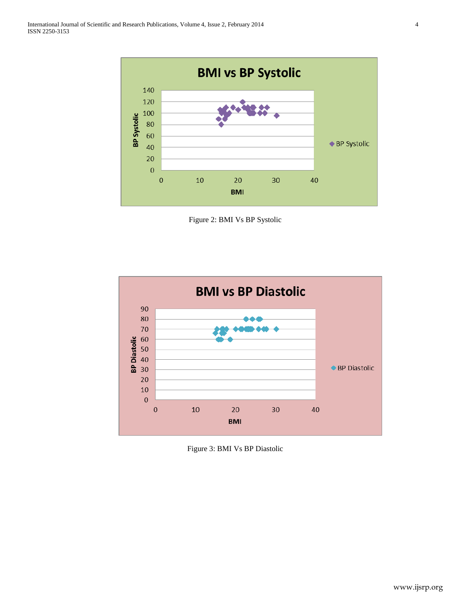

Figure 2: BMI Vs BP Systolic



Figure 3: BMI Vs BP Diastolic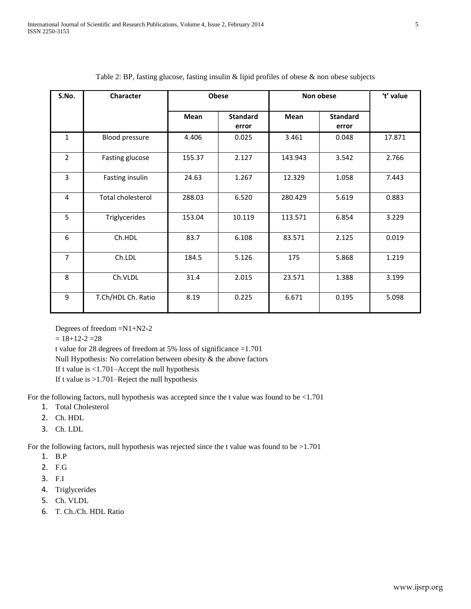| S.No.          | <b>Character</b>         | <b>Obese</b> |                          | Non obese   |                          | 't' value |
|----------------|--------------------------|--------------|--------------------------|-------------|--------------------------|-----------|
|                |                          | <b>Mean</b>  | <b>Standard</b><br>error | <b>Mean</b> | <b>Standard</b><br>error |           |
| $\mathbf{1}$   | <b>Blood pressure</b>    | 4.406        | 0.025                    | 3.461       | 0.048                    | 17.871    |
| $\overline{2}$ | Fasting glucose          | 155.37       | 2.127                    | 143.943     | 3.542                    | 2.766     |
| 3              | Fasting insulin          | 24.63        | 1.267                    | 12.329      | 1.058                    | 7.443     |
| 4              | <b>Total cholesterol</b> | 288.03       | 6.520                    | 280.429     | 5.619                    | 0.883     |
| 5              | Triglycerides            | 153.04       | 10.119                   | 113.571     | 6.854                    | 3.229     |
| 6              | Ch.HDL                   | 83.7         | 6.108                    | 83.571      | 2.125                    | 0.019     |
| 7              | Ch.LDL                   | 184.5        | 5.126                    | 175         | 5.868                    | 1.219     |
| 8              | Ch.VLDL                  | 31.4         | 2.015                    | 23.571      | 1.388                    | 3.199     |
| 9              | T.Ch/HDL Ch. Ratio       | 8.19         | 0.225                    | 6.671       | 0.195                    | 5.098     |

## Table 2: BP, fasting glucose, fasting insulin  $\&$  lipid profiles of obese  $\&$  non obese subjects

Degrees of freedom =N1+N2-2

 $= 18+12-2 = 28$ 

t value for 28 degrees of freedom at 5% loss of significance =1.701

Null Hypothesis: No correlation between obesity & the above factors

If t value is <1.701–Accept the null hypothesis

If t value is >1.701–Reject the null hypothesis

For the following factors, null hypothesis was accepted since the t value was found to be <1.701

- 1. Total Cholesterol
- 2. Ch. HDL
- 3. Ch. LDL

For the following factors, null hypothesis was rejected since the t value was found to be >1.701

- 1. B.P
- 2. F.G
- 3. F.I
- 4. Triglycerides
- 5. Ch. VLDL
- 6. T. Ch./Ch. HDL Ratio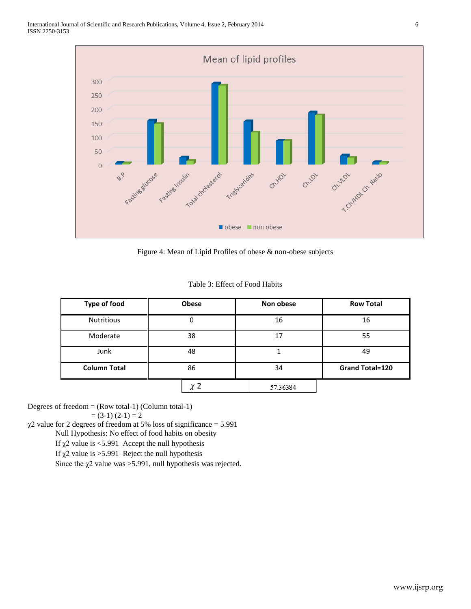

Figure 4: Mean of Lipid Profiles of obese & non-obese subjects

|  |  | Table 3: Effect of Food Habits |  |
|--|--|--------------------------------|--|
|--|--|--------------------------------|--|

| <b>Type of food</b> | Obese | Non obese | <b>Row Total</b>       |  |
|---------------------|-------|-----------|------------------------|--|
| <b>Nutritious</b>   | 0     | 16        | 16                     |  |
| Moderate            | 38    | 17        | 55                     |  |
| 48<br>Junk          |       |           | 49                     |  |
| <b>Column Total</b> | 86    | 34        | <b>Grand Total=120</b> |  |
|                     | ック    | 57.36384  |                        |  |

Degrees of freedom  $=$  (Row total-1) (Column total-1)

 $= (3-1) (2-1) = 2$ 

 $\chi$ 2 value for 2 degrees of freedom at 5% loss of significance = 5.991

Null Hypothesis: No effect of food habits on obesity

If  $\chi$ 2 value is <5.991–Accept the null hypothesis

If  $χ$ 2 value is > 5.991–Reject the null hypothesis

Since the  $\chi$ 2 value was > 5.991, null hypothesis was rejected.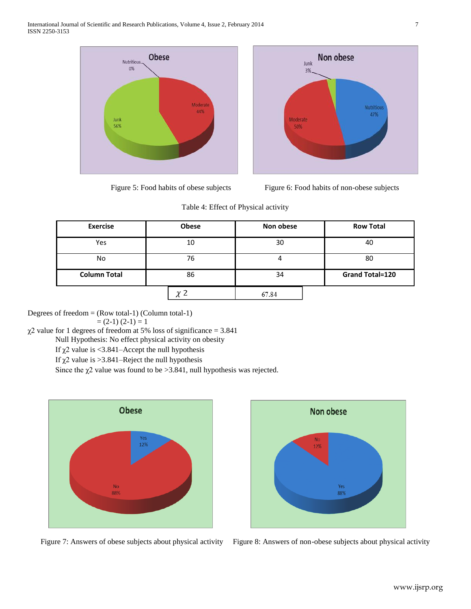





#### Table 4: Effect of Physical activity

| <b>Exercise</b>     | <b>Obese</b> | Non obese | <b>Row Total</b>       |  |
|---------------------|--------------|-----------|------------------------|--|
| Yes                 | 10           | 30        | 40                     |  |
| No                  | 76           |           | 80                     |  |
| <b>Column Total</b> | 86           | 34        | <b>Grand Total=120</b> |  |
|                     |              | 67.84     |                        |  |

Degrees of freedom = (Row total-1) (Column total-1)

 $=(2-1)(2-1)=1$ 

 $\chi$ 2 value for 1 degrees of freedom at 5% loss of significance = 3.841

Null Hypothesis: No effect physical activity on obesity

If  $\chi$ 2 value is <3.841–Accept the null hypothesis

If  $\chi$ 2 value is > 3.841–Reject the null hypothesis

Since the  $\chi$ 2 value was found to be > 3.841, null hypothesis was rejected.





Figure 7: Answers of obese subjects about physical activity Figure 8: Answers of non-obese subjects about physical activity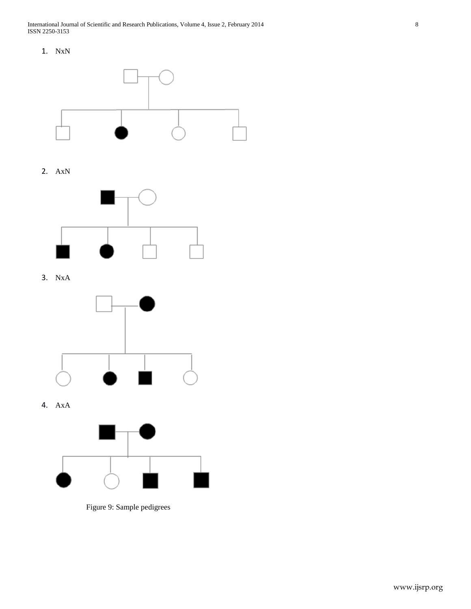1. NxN



2. AxN



3. NxA



4. AxA



Figure 9: Sample pedigrees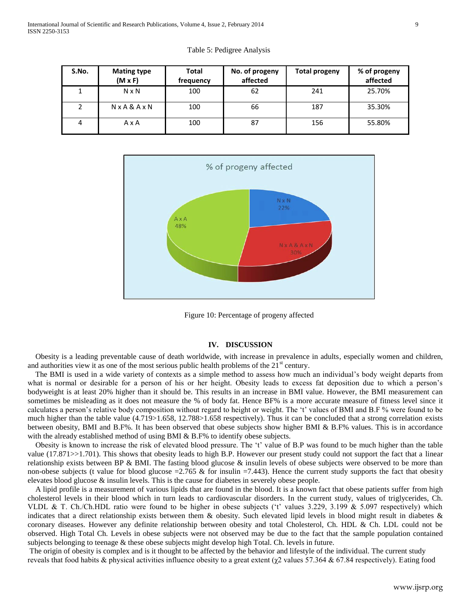| S.No. | <b>Mating type</b><br>$(M \times F)$ | <b>Total</b><br>frequency | No. of progeny<br>affected | <b>Total progeny</b> | % of progeny<br>affected |
|-------|--------------------------------------|---------------------------|----------------------------|----------------------|--------------------------|
|       | $N \times N$                         | 100                       | 62                         | 241                  | 25.70%                   |
|       | $N \times A \& A \times N$           | 100                       | 66                         | 187                  | 35.30%                   |
|       | AxA                                  | 100                       | 87                         | 156                  | 55.80%                   |

Table 5: Pedigree Analysis



Figure 10: Percentage of progeny affected

#### **IV. DISCUSSION**

 Obesity is a leading preventable cause of death worldwide, with increase in prevalence in adults, especially women and children, and authorities view it as one of the most serious public health problems of the  $21<sup>st</sup>$  century.

 The BMI is used in a wide variety of contexts as a simple method to assess how much an individual's body weight departs from what is normal or desirable for a person of his or her height. Obesity leads to excess fat deposition due to which a person's bodyweight is at least 20% higher than it should be. This results in an increase in BMI value. However, the BMI measurement can sometimes be misleading as it does not measure the % of body fat. Hence BF% is a more accurate measure of fitness level since it calculates a person's relative body composition without regard to height or weight. The 't' values of BMI and B.F % were found to be much higher than the table value (4.719>1.658, 12.788>1.658 respectively). Thus it can be concluded that a strong correlation exists between obesity, BMI and B.F%. It has been observed that obese subjects show higher BMI & B.F% values. This is in accordance with the already established method of using BMI & B.F% to identify obese subjects.

 Obesity is known to increase the risk of elevated blood pressure. The 't' value of B.P was found to be much higher than the table value (17.871>>1.701). This shows that obesity leads to high B.P. However our present study could not support the fact that a linear relationship exists between BP  $\&$  BMI. The fasting blood glucose  $\&$  insulin levels of obese subjects were observed to be more than non-obese subjects (t value for blood glucose  $=$  2.765  $\&$  for insulin  $=$  7.443). Hence the current study supports the fact that obesity elevates blood glucose & insulin levels. This is the cause for diabetes in severely obese people.

 A lipid profile is a measurement of various lipids that are found in the blood. It is a known fact that obese patients suffer from high cholesterol levels in their blood which in turn leads to cardiovascular disorders. In the current study, values of triglycerides, Ch. VLDL & T. Ch./Ch.HDL ratio were found to be higher in obese subjects ('t' values 3.229, 3.199 & 5.097 respectively) which indicates that a direct relationship exists between them & obesity. Such elevated lipid levels in blood might result in diabetes & coronary diseases. However any definite relationship between obesity and total Cholesterol, Ch. HDL & Ch. LDL could not be observed. High Total Ch. Levels in obese subjects were not observed may be due to the fact that the sample population contained subjects belonging to teenage & these obese subjects might develop high Total. Ch. levels in future.

The origin of obesity is complex and is it thought to be affected by the behavior and lifestyle of the individual. The current study reveals that food habits & physical activities influence obesity to a great extent ( $\chi$ 2 values 57.364 & 67.84 respectively). Eating food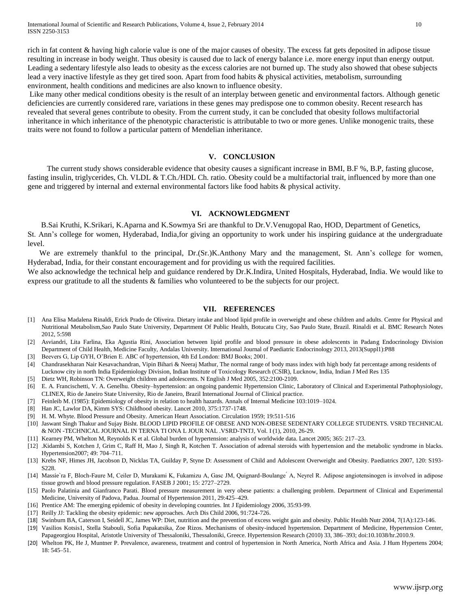rich in fat content & having high calorie value is one of the major causes of obesity. The excess fat gets deposited in adipose tissue resulting in increase in body weight. Thus obesity is caused due to lack of energy balance i.e. more energy input than energy output. Leading a sedentary lifestyle also leads to obesity as the excess calories are not burned up. The study also showed that obese subjects lead a very inactive lifestyle as they get tired soon. Apart from food habits & physical activities, metabolism, surrounding environment, health conditions and medicines are also known to influence obesity.

Like many other medical conditions obesity is the result of an interplay between genetic and environmental factors. Although genetic deficiencies are currently considered rare, variations in these genes may predispose one to common obesity. Recent research has revealed that several genes contribute to obesity. From the current study, it can be concluded that obesity follows multifactorial inheritance in which inheritance of the phenotypic characteristic is attributable to two or more genes. Unlike monogenic traits, these traits were not found to follow a particular pattern of Mendelian inheritance.

#### **V. CONCLUSION**

 The current study shows considerable evidence that obesity causes a significant increase in BMI, B.F %, B.P, fasting glucose, fasting insulin, triglycerides, Ch. VLDL & T.Ch./HDL Ch. ratio. Obesity could be a multifactorial trait, influenced by more than one gene and triggered by internal and external environmental factors like food habits & physical activity.

#### **VI. ACKNOWLEDGMENT**

 B.Sai Kruthi, K.Srikari, K.Aparna and K.Sowmya Sri are thankful to Dr.V.Venugopal Rao, HOD, Department of Genetics, St. Ann's college for women, Hyderabad, India,for giving an opportunity to work under his inspiring guidance at the undergraduate level.

We are extremely thankful to the principal, Dr.(Sr.)K.Anthony Mary and the management, St. Ann's college for women, Hyderabad, India, for their constant encouragement and for providing us with the required facilities.

We also acknowledge the technical help and guidance rendered by Dr.K.Indira, United Hospitals, Hyderabad, India. We would like to express our gratitude to all the students & families who volunteered to be the subjects for our project.

#### **VII. REFERENCES**

- [1] Ana Elisa Madalena Rinaldi, Erick Prado de Oliveira. Dietary intake and blood lipid profile in overweight and obese children and adults. Centre for Physical and Nutritional Metabolism,Sao Paulo State University, Department Of Public Health, Botucatu City, Sao Paulo State, Brazil. Rinaldi et al. BMC Research Notes 2012, 5:598
- [2] Asviandri, Lita Farlina, Eka Agustia Rini, Association between lipid profile and blood pressure in obese adolescents in Padang Endocrinology Division Department of Child Health, Medicine Faculty, Andalas University. International Journal of Paediatric Endocrinology 2013, 2013(Suppl1):P88
- [3] Beevers G, Lip GYH, O'Brien E. ABC of hypertension, 4th Ed London: BMJ Books; 2001.
- [4] Chandrasekharan Nair Kesavachandran, Vipin Bihari & Neeraj Mathur, The normal range of body mass index with high body fat percentage among residents of Lucknow city in north India Epidemiology Division, Indian Institute of Toxicology Research (CSIR), Lucknow, India, Indian J Med Res 135
- [5] Dietz WH, Robinson TN: Overweight children and adolescents. N English J Med 2005, 352:2100-2109.
- [6] E. A. Francischetti, V. A. Genelhu. Obesity–hypertension: an ongoing pandemic Hypertension Clinic, Laboratory of Clinical and Experimental Pathophysiology, CLINEX, Rio de Janeiro State University, Rio de Janeiro, Brazil International Journal of Clinical practice.
- [7] Feinleib M. (1985): Epidemiology of obesity in relation to health hazards. Annals of Internal Medicine 103:1019–1024.
- [8] Han JC, Lawlor DA, Kimm SYS: Childhood obesity. Lancet 2010, 375:1737-1748.
- [9] H. M. Whyte. Blood Pressure and Obesity. American Heart Association. Circulation 1959; 19:511-516
- [10] Jaswant Singh Thakur and Sujay Bisht. BLOOD LIPID PROFILE OF OBESE AND NON-OBESE SEDENTARY COLLEGE STUDENTS. VSRD TECHNICAL & NON -TECHNICAL JOURNAL IN TERNA TI ONA L JOUR NAL .VSRD-TNTJ, Vol. I (1), 2010, 26-29.
- [11] Kearney PM, Whelton M, Reynolds K et al. Global burden of hypertension: analysis of worldwide data. Lancet 2005; 365: 217–23.
- [12] .Kidambi S, Kotchen J, Grim C, Raff H, Mao J, Singh R, Kotchen T. Association of adrenal steroids with hypertension and the metabolic syndrome in blacks. Hypertension2007; 49: 704–711.
- [13] Krebs NF, Himes JH, Jacobson D, Nicklas TA, Guilday P, Styne D: Assessment of Child and Adolescent Overweight and Obesity. Paediatrics 2007, 120: S193- S228.
- [14] Massie`ra F, Bloch-Faure M, Ceiler D, Murakami K, Fukamizu A, Gasc JM, Quignard-Boulange A, Neyrel R. Adipose angiotensinogen is involved in adipose tissue growth and blood pressure regulation. FASEB J 2001; 15: 2727–2729.
- [15] Paolo Palatinia and Gianfranco Parati. Blood pressure measurement in very obese patients: a challenging problem. Department of Clinical and Experimental Medicine, University of Padova, Padua. Journal of Hypertension 2011, 29:425–429.
- [16] Prentice AM: The emerging epidemic of obesity in developing countries. Int J Epidemiology 2006, 35:93-99.
- [17] Reilly JJ: Tackling the obesity epidemic: new approaches. Arch Dis Child 2006, 91:724-726.
- [18] Swinburn BA, Caterson I, Seidell JC, James WP: Diet, nutrition and the prevention of excess weight gain and obesity. Public Health Nutr 2004, 7(1A):123-146.
- [19] Vasilios Kotsis1, Stella Stabouli, Sofia Papakatsika, Zoe Rizos. Mechanisms of obesity-induced hypertension. Department of Medicine, Hypertension Center, Papageorgiou Hospital, Aristotle University of Thessaloniki, Thessaloniki, Greece. Hypertension Research (2010) 33, 386–393; doi:10.1038/hr.2010.9.
- [20] Whelton PK, He J, Muntner P. Prevalence, awareness, treatment and control of hypertension in North America, North Africa and Asia. J Hum Hypertens 2004; 18: 545–51.